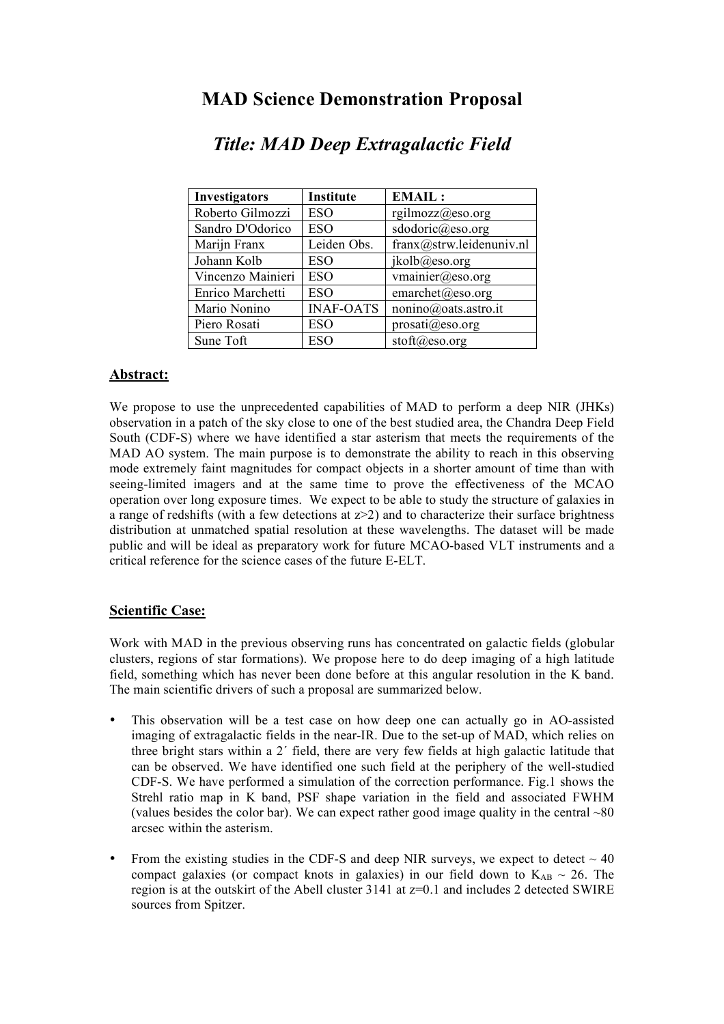# **MAD Science Demonstration Proposal**

| <b>Investigators</b> | Institute        | <b>EMAIL:</b>            |
|----------------------|------------------|--------------------------|
| Roberto Gilmozzi     | ESO              | rgilmozz@eso.org         |
| Sandro D'Odorico     | <b>ESO</b>       | sdodoric@eso.org         |
| Marijn Franx         | Leiden Obs.      | franx@strw.leidenuniv.nl |
| Johann Kolb          | ESO              | jkolb@eso.org            |
| Vincenzo Mainieri    | ESO              | vmainier@eso.org         |
| Enrico Marchetti     | <b>ESO</b>       | emarchet@eso.org         |
| Mario Nonino         | <b>INAF-OATS</b> | nonino@oats.astro.it     |
| Piero Rosati         | ESO              | $proxati(a)$ eso.org     |
| Sune Toft            | <b>ESO</b>       | $stoft@$ eso.org         |

# *Title: MAD Deep Extragalactic Field*

### **Abstract:**

We propose to use the unprecedented capabilities of MAD to perform a deep NIR (JHKs) observation in a patch of the sky close to one of the best studied area, the Chandra Deep Field South (CDF-S) where we have identified a star asterism that meets the requirements of the MAD AO system. The main purpose is to demonstrate the ability to reach in this observing mode extremely faint magnitudes for compact objects in a shorter amount of time than with seeing-limited imagers and at the same time to prove the effectiveness of the MCAO operation over long exposure times. We expect to be able to study the structure of galaxies in a range of redshifts (with a few detections at  $z > 2$ ) and to characterize their surface brightness distribution at unmatched spatial resolution at these wavelengths. The dataset will be made public and will be ideal as preparatory work for future MCAO-based VLT instruments and a critical reference for the science cases of the future E-ELT.

### **Scientific Case:**

Work with MAD in the previous observing runs has concentrated on galactic fields (globular clusters, regions of star formations). We propose here to do deep imaging of a high latitude field, something which has never been done before at this angular resolution in the K band. The main scientific drivers of such a proposal are summarized below.

- This observation will be a test case on how deep one can actually go in AO-assisted imaging of extragalactic fields in the near-IR. Due to the set-up of MAD, which relies on three bright stars within a 2´ field, there are very few fields at high galactic latitude that can be observed. We have identified one such field at the periphery of the well-studied CDF-S. We have performed a simulation of the correction performance. Fig.1 shows the Strehl ratio map in K band, PSF shape variation in the field and associated FWHM (values besides the color bar). We can expect rather good image quality in the central  $\sim 80$ arcsec within the asterism.
- From the existing studies in the CDF-S and deep NIR surveys, we expect to detect  $\sim$  40 compact galaxies (or compact knots in galaxies) in our field down to  $K_{AB} \sim 26$ . The region is at the outskirt of the Abell cluster 3141 at z=0.1 and includes 2 detected SWIRE sources from Spitzer.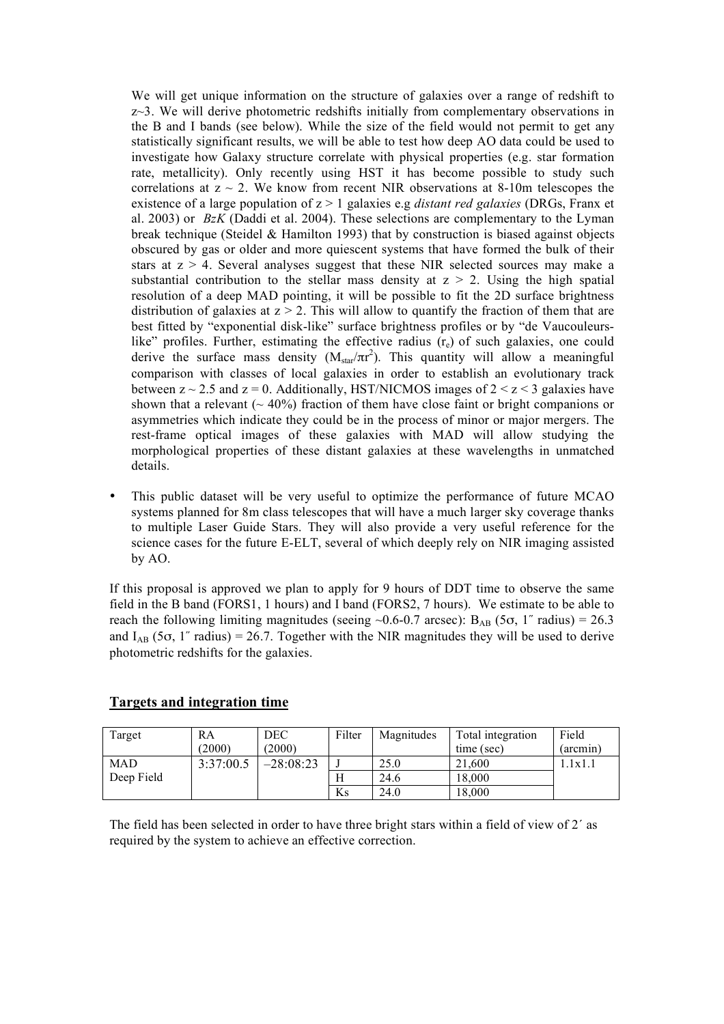We will get unique information on the structure of galaxies over a range of redshift to z~3. We will derive photometric redshifts initially from complementary observations in the B and I bands (see below). While the size of the field would not permit to get any statistically significant results, we will be able to test how deep AO data could be used to investigate how Galaxy structure correlate with physical properties (e.g. star formation rate, metallicity). Only recently using HST it has become possible to study such correlations at  $z \sim 2$ . We know from recent NIR observations at 8-10m telescopes the existence of a large population of z > 1 galaxies e.g *distant red galaxies* (DRGs, Franx et al. 2003) or *BzK* (Daddi et al. 2004). These selections are complementary to the Lyman break technique (Steidel & Hamilton 1993) that by construction is biased against objects obscured by gas or older and more quiescent systems that have formed the bulk of their stars at  $z > 4$ . Several analyses suggest that these NIR selected sources may make a substantial contribution to the stellar mass density at  $z > 2$ . Using the high spatial resolution of a deep MAD pointing, it will be possible to fit the 2D surface brightness distribution of galaxies at  $z > 2$ . This will allow to quantify the fraction of them that are best fitted by "exponential disk-like" surface brightness profiles or by "de Vaucouleurslike" profiles. Further, estimating the effective radius  $(r<sub>e</sub>)$  of such galaxies, one could derive the surface mass density  $(M_{star}/\pi r^2)$ . This quantity will allow a meaningful comparison with classes of local galaxies in order to establish an evolutionary track between  $z \sim 2.5$  and  $z = 0$ . Additionally, HST/NICMOS images of  $2 \le z \le 3$  galaxies have shown that a relevant  $($   $\sim$  40%) fraction of them have close faint or bright companions or asymmetries which indicate they could be in the process of minor or major mergers. The rest-frame optical images of these galaxies with MAD will allow studying the morphological properties of these distant galaxies at these wavelengths in unmatched details.

• This public dataset will be very useful to optimize the performance of future MCAO systems planned for 8m class telescopes that will have a much larger sky coverage thanks to multiple Laser Guide Stars. They will also provide a very useful reference for the science cases for the future E-ELT, several of which deeply rely on NIR imaging assisted by AO.

If this proposal is approved we plan to apply for 9 hours of DDT time to observe the same field in the B band (FORS1, 1 hours) and I band (FORS2, 7 hours). We estimate to be able to reach the following limiting magnitudes (seeing ~0.6-0.7 arcsec):  $B_{AB}$  (5 $\sigma$ , 1<sup>*''*</sup> radius) = 26.3 and  $I_{AB}$  (5 $\sigma$ , 1" radius) = 26.7. Together with the NIR magnitudes they will be used to derive photometric redshifts for the galaxies.

| Target     | RA<br>(2000) | <b>DEC</b><br>(2000) | Filter | Magnitudes | Total integration<br>time (sec) | Field<br>$(\arcsin)$ |
|------------|--------------|----------------------|--------|------------|---------------------------------|----------------------|
| <b>MAD</b> | 3:37:00.5    | $-28:08:23$          |        | 25.0       | 21,600                          | .1x1.1               |
| Deep Field |              |                      | п      | 24.6       | 18.000                          |                      |
|            |              |                      | Ks     | 24.0       | 18.000                          |                      |

### **Targets and integration time**

The field has been selected in order to have three bright stars within a field of view of 2´ as required by the system to achieve an effective correction.